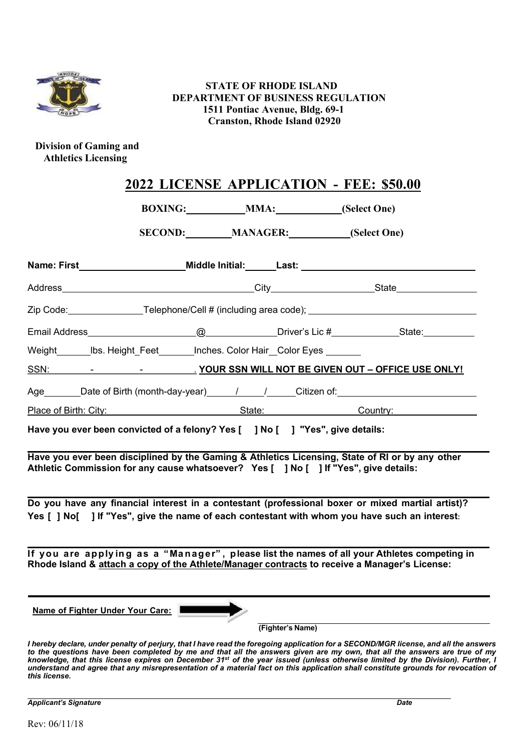

## **STATE OF RHODE ISLAND DEPARTMENT OF BUSINESS REGULATION 1511 Pontiac Avenue, Bldg. 69-1 Cranston, Rhode Island 02920**

## **Division of Gaming and Athletics Licensing**

|  | 2022 LICENSE APPLICATION - FEE: \$50.00 |  |
|--|-----------------------------------------|--|
|  |                                         |  |

**BOXING: MMA: (Select One)**

**SECOND: MANAGER: (Select One)**

| Name: First____________________________Middle Initial:__________________________                                                                                                                                                                                         |                  |  |
|--------------------------------------------------------------------------------------------------------------------------------------------------------------------------------------------------------------------------------------------------------------------------|------------------|--|
|                                                                                                                                                                                                                                                                          |                  |  |
|                                                                                                                                                                                                                                                                          |                  |  |
|                                                                                                                                                                                                                                                                          |                  |  |
| Weight Ibs. Height Feet Inches. Color Hair Color Eyes                                                                                                                                                                                                                    |                  |  |
| SSN: <b>SALIC CONSTRUERED BE GIVEN OUT - OFFICE USE ONLY!</b>                                                                                                                                                                                                            |                  |  |
| Age _______Date of Birth (month-day-year)______/______/_____Citizen of: ___________________________                                                                                                                                                                      |                  |  |
| Place of Birth: City: etc. All and State: Country: Country: Country:                                                                                                                                                                                                     |                  |  |
| Have you ever been convicted of a felony? Yes [ ] No [ ] "Yes", give details:<br>Have you ever been disciplined by the Gaming & Athletics Licensing, State of RI or by any other<br>Athletic Commission for any cause whatsoever? Yes [ ] No [ ] If "Yes", give details: |                  |  |
| Do you have any financial interest in a contestant (professional boxer or mixed martial artist)?<br>Yes [ ] No[ ] If "Yes", give the name of each contestant with whom you have such an interest:                                                                        |                  |  |
| If you are applying as a "Manager", please list the names of all your Athletes competing in<br>Rhode Island & attach a copy of the Athlete/Manager contracts to receive a Manager's License:                                                                             |                  |  |
| Name of Fighter Under Your Care:                                                                                                                                                                                                                                         | (Fighter's Name) |  |
| I hereby declare, under penalty of perjury, that I have read the foregoing application for a SECOND/MGR license, and all the answ                                                                                                                                        |                  |  |

l hereby declare, under penalty of perjury, that I have read the foregoing application for a SECOND/MGR license, and all the answers *to the questions have been completed by me and that all the answers given are my own, that all the answers are true of my knowledge, that this license expires on December 31st of the year issued (unless otherwise limited by the Division). Further, I understand and agree that any misrepresentation of a material fact on this application shall constitute grounds for revocation of this license.*

*Applicant's Signature Date*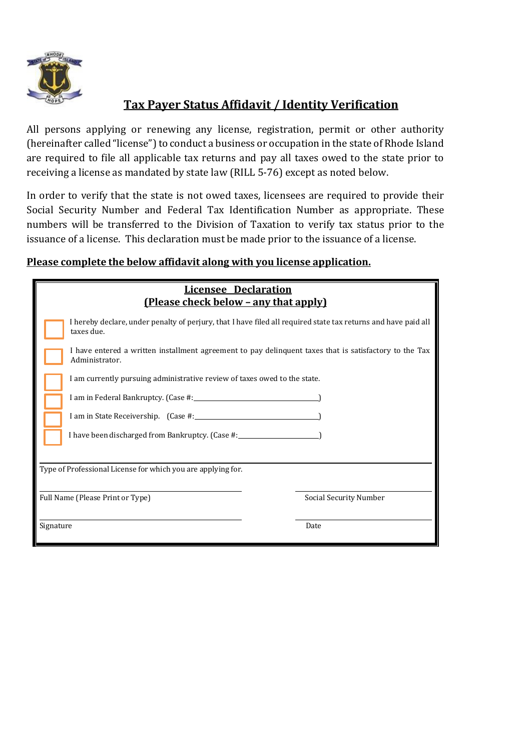

## **Tax Payer Status Affidavit / Identity Verification**

All persons applying or renewing any license, registration, permit or other authority (hereinafter called "license") to conduct a business or occupation in the state of Rhode Island are required to file all applicable tax returns and pay all taxes owed to the state prior to receiving a license as mandated by state law (RILL 5-76) except as noted below.

In order to verify that the state is not owed taxes, licensees are required to provide their Social Security Number and Federal Tax Identification Number as appropriate. These numbers will be transferred to the Division of Taxation to verify tax status prior to the issuance of a license. This declaration must be made prior to the issuance of a license.

## **Please complete the below affidavit along with you license application.**

| <b>Licensee Declaration</b>                                                                                                  |                        |  |  |  |  |
|------------------------------------------------------------------------------------------------------------------------------|------------------------|--|--|--|--|
| <u>(Please check below – any that apply)</u>                                                                                 |                        |  |  |  |  |
| I hereby declare, under penalty of perjury, that I have filed all required state tax returns and have paid all<br>taxes due. |                        |  |  |  |  |
| I have entered a written installment agreement to pay delinquent taxes that is satisfactory to the Tax<br>Administrator.     |                        |  |  |  |  |
| I am currently pursuing administrative review of taxes owed to the state.                                                    |                        |  |  |  |  |
| I am in Federal Bankruptcy. (Case #: 1990)                                                                                   |                        |  |  |  |  |
| I am in State Receivership. (Case #: 1999)                                                                                   |                        |  |  |  |  |
| I have been discharged from Bankruptcy. (Case #:                                                                             |                        |  |  |  |  |
|                                                                                                                              |                        |  |  |  |  |
| Type of Professional License for which you are applying for.                                                                 |                        |  |  |  |  |
| Full Name (Please Print or Type)                                                                                             | Social Security Number |  |  |  |  |
| Signature                                                                                                                    | Date                   |  |  |  |  |